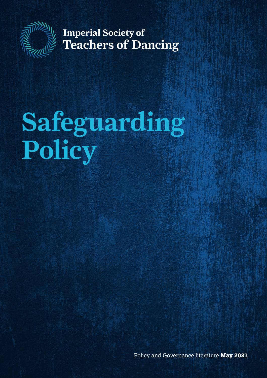

**Imperial Society of Teachers of Dancing** 

# **Safeguarding Policy**

Policy and Governance literature **May 2021**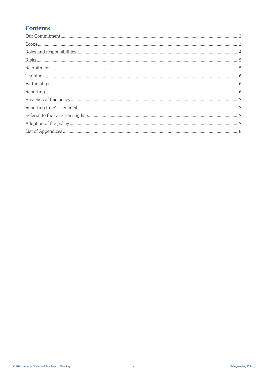# **Contents**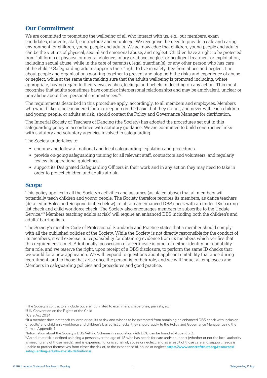## **Our Commitment**

We are committed to promoting the wellbeing of all who interact with us, e.g., our members, exam candidates, students, staff, contractors<sup>1</sup> and volunteers. We recognise the need to provide a safe and caring environment for children, young people and adults. We acknowledge that children, young people and adults can be the victims of physical, sexual and emotional abuse, and neglect. Children have a right to be protected from "all forms of physical or mental violence, injury or abuse, neglect or negligent treatment or exploitation, including sexual abuse, while in the care of parent(s), legal guardian(s), or any other person who has care of the child."2 Safeguarding adults supports their "right to live in safety, free from abuse and neglect. It is about people and organisations working together to prevent and stop both the risks and experience of abuse or neglect, while at the same time making sure that the adult's wellbeing is promoted including, where appropriate, having regard to their views, wishes, feelings and beliefs in deciding on any action. This must recognise that adults sometimes have complex interpersonal relationships and may be ambivalent, unclear or unrealistic about their personal circumstances."3

The requirements described in this procedure apply, accordingly, to all members and employees. Members who would like to be considered for an exception on the basis that they do not, and never will teach children and young people, or adults at risk, should contact the Policy and Governance Manager for clarification.

The Imperial Society of Teachers of Dancing (the Society) has adopted the procedures set out in this safeguarding policy in accordance with statutory guidance. We are committed to build constructive links with statutory and voluntary agencies involved in safeguarding.

The Society undertakes to:

- endorse and follow all national and local safeguarding legislation and procedures.
- provide on-going safeguarding training for all relevant staff, contractors and volunteers, and regularly review its operational guidelines.
- support its Designated Safeguarding Officers in their work and in any action they may need to take in order to protect children and adults at risk.

## **Scope**

This policy applies to all the Society's activities and assumes (as stated above) that all members will potentially teach children and young people. The Society therefore requires its members, as dance teachers (detailed in Roles and Responsibilities below), to obtain an enhanced DBS check with an under-18s barring list check and child workforce check. The Society also encourages members to subscribe to the Update Service.<sup>4,5</sup> Members teaching adults at risk<sup>6</sup> will require an enhanced DBS including both the children's and adults' barring lists.

The Society's member Code of Professional Standards and Practice states that a member should comply with all the published policies of the Society. While the Society is not directly responsible for the conduct of its members, it will exercise its responsibility for obtaining evidence from its members which verifies that this requirement is met. Additionally, possession of a certificate is proof of neither identity nor suitability for a role, and we reserve the right, upon receipt of a DBS disclosure, to perform the same ID checks that we would for a new application. We will respond to questions about applicant suitability that arise during recruitment, and to those that arise once the person is in their role, and we will induct all employees and Members in safeguarding policies and procedures and good practice.

<sup>&</sup>lt;sup>1</sup> The Society's contractors include but are not limited to examiners, chaperones, pianists, etc.

<sup>2</sup> UN Convention on the Rights of the Child

<sup>&</sup>lt;sup>3</sup> Care Act 2014

<sup>4</sup> If a member does not teach children or adults at risk and wishes to be exempted from obtaining an enhanced DBS check with inclusion of adults' and children's workforce and children's barred list checks, they should apply to the Policy and Governance Manager using the form in Appendix 1.

<sup>5</sup> Information about the Society's DBS Vetting Scheme in association with DDC can be found at Appendix 2.

 $6$ An adult at risk is defined as being a person over the age of 18 who has needs for care and/or support (whether or not the local authority is meeting any of those needs); and is experiencing, or is at risk of, abuse or neglect; and as a result of those care and support needs is unable to protect themselves from either the risk of, or the experience of, abuse or neglect **https://www.anncrafttrust.org/resources/ safeguarding-adults-at-risk-definitions/**.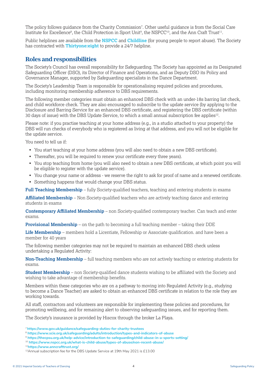The policy follows guidance from the Charity Commission7 . Other useful guidance is from the Social Care Institute for Excellence<sup>8</sup>, the Child Protection in Sport Unit<sup>9</sup>, the NSPCC<sup>10</sup>, and the Ann Craft Trust<sup>11</sup>.

Public helplines are available from the **NSPCC** and **Childline** (for young people to report abuse). The Society has contracted with **Thirtyone:eight** to provide a 24/7 helpline.

## **Roles and responsibilities**

The Society's Council has overall responsibility for Safeguarding. The Society has appointed as its Designated Safeguarding Officer (DSO), its Director of Finance and Operations, and as Deputy DSO its Policy and Governance Manager, supported by Safeguarding specialists in the Dance Department.

The Society's Leadership Team is responsible for operationalising required policies and procedures, including monitoring membership adherence to DBS requirements.

The following member categories must obtain an enhanced DBS check with an under-18s barring list check, and child workforce check. They are also encouraged to subscribe to the update service (by applying to the Disclosure and Barring Service for an enhanced DBS certificate, and registering the DBS certificate (within 30 days of issue) with the DBS Update Service, to which a small annual subscription fee applies<sup>12</sup>.

Please note: if you practise teaching at your home address (e.g., in a studio attached to your property) the DBS will run checks of everybody who is registered as living at that address, and you will not be eligible for the update service.

You need to tell us if:

- You start teaching at your home address (you will also need to obtain a new DBS certificate).
- Thereafter, you will be required to renew your certificate every three years).
- You stop teaching from home (you will also need to obtain a new DBS certificate, at which point you will be eligible to register with the update service).
- You change your name or address we reserve the right to ask for proof of name and a renewed certificate.
- Something happens that would change your DBS status.

**Full Teaching Membership** – fully Society-qualified teachers, teaching and entering students in exams

**Affiliated Membership** – Non Society-qualified teachers who are actively teaching dance and entering students in exams

**Contemporary Affiliated Membership** – non Society-qualified contemporary teacher. Can teach and enter exams.

**Provisional Membership** – on the path to becoming a full teaching member – taking their DDE

**Life Membership** – members hold a Licentiate, Fellowship or Associate qualification. and have been a member for 40 years

The following member categories may not be required to maintain an enhanced DBS check unless undertaking a Regulated Activity:

**Non-Teaching Membership** – full teaching members who are not actively teaching or entering students for exams.

**Student Membership** – non Society-qualified dance students wishing to be affiliated with the Society and wishing to take advantage of membership benefits.

Members within these categories who are on a pathway to moving into Regulated Activity (e.g., studying to become a Dance Teacher) are asked to obtain an enhanced DBS certificate in relation to the role they are working towards.

All staff, contractors and volunteers are responsible for implementing these policies and procedures, for promoting wellbeing, and for remaining alert to observing safeguarding issues, and for reporting them.

The Society's insurance is provided by Hiscox through the broker La Playa.

<sup>11</sup>**https://www.anncrafttrust.org/**

<sup>7</sup>**https://www.gov.uk/guidance/safeguarding-duties-for-charity-trustees**

<sup>8</sup> **https://www.scie.org.uk/safeguarding/adults/introduction/types-and-indicators-of-abuse**

<sup>9</sup> **https://thecpsu.org.uk/help-advice/introduction-to-safeguarding/child-abuse-in-a-sports-setting/**

<sup>10</sup> **https://www.nspcc.org.uk/what-is-child-abuse/types-of-abuse/non-recent-abuse/**

<sup>12</sup>Annual subscription fee for the DBS Update Service at 19th May 2021 is £13.00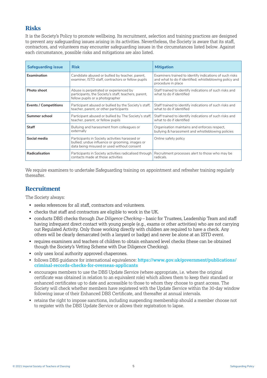## **Risks**

It is the Society's Policy to promote wellbeing. Its recruitment, selection and training practices are designed to prevent any safeguarding issues arising in its activities. Nevertheless, the Society is aware that its staff, contractors, and volunteers may encounter safeguarding issues in the circumstances listed below. Against each circumstance, possible risks and mitigations are also listed.

| <b>Safeguarding issue</b>    | <b>Risk</b>                                                                                                                                     | <b>Mitigation</b>                                                                                                                        |
|------------------------------|-------------------------------------------------------------------------------------------------------------------------------------------------|------------------------------------------------------------------------------------------------------------------------------------------|
| Examination                  | Candidate abused or bullied by teacher, parent,<br>examiner, ISTD staff, contractors or fellow pupils                                           | Examiners trained to identify indications of such risks<br>and what to do if identified; whistleblowing policy and<br>procedure in place |
| Photo shoot                  | Abuse is perpetrated or experienced by<br>participants, the Society's staff, teachers, parent,<br>fellow pupils or a photographer               | Staff trained to identify indications of such risks and<br>what to do if identified                                                      |
| <b>Events / Competitions</b> | Participant abused or bullied by the Society's staff.<br>teacher, parent, or other participants                                                 | Staff trained to identify indications of such risks and<br>what to do if identified                                                      |
| Summer school                | Participant abused or bullied by The Society's staff,<br>teacher, parent, or fellow pupils                                                      | Staff trained to identify indications of such risks and<br>what to do if identified                                                      |
| Staff                        | Bullying and harassment from colleagues or<br>externally                                                                                        | Organisation maintains and enforces respect,<br>bullying & harassment and whistleblowing policies                                        |
| Social media                 | Participants in Society activities harassed or<br>bullied; undue influence or grooming, images or<br>data being misused or used without consent | Online safety policy                                                                                                                     |
| Radicalisation               | Participants in Society activities radicalised through<br>contacts made at those activities                                                     | Recruitment processes alert to those who may be<br>radicals.                                                                             |

We require examiners to undertake Safeguarding training on appointment and refresher training regularly thereafter.

## **Recruitment**

The Society always:

- seeks references for all staff, contractors and volunteers.
- checks that staff and contractors are eligible to work in the UK.
- conducts DBS checks through *Due Diligence Checking* basic for Trustees, Leadership Team and staff having infrequent direct contact with young people (e.g., exams or other activities) who are not carrying out Regulated Activity. Only those working directly with children are required to have a check. Any others will be clearly demarcated (with a lanyard or badge) and never be alone at an ISTD event.
- requires examiners and teachers of children to obtain enhanced level checks (these can be obtained though the Society's Vetting Scheme with Due Diligence Checking).
- only uses local authority approved chaperones.
- follows DBS quidance for international equivalence: **https://www.gov.uk/government/publications/ criminal-records-checks-for-overseas-applicants**
- encourages members to use the DBS Update Service (where appropriate, i.e. where the original certificate was obtained in relation to an equivalent role) which allows them to keep their standard or enhanced certificates up to date and accessible to those to whom they choose to grant access. The Society will check whether members have registered with the Update Service within the 30-day window following issue of their Enhanced DBS Certificate, and thereafter at annual intervals.
- retains the right to impose sanctions, including suspending membership should a member choose not to register with the DBS Update Service or allows their registration to lapse.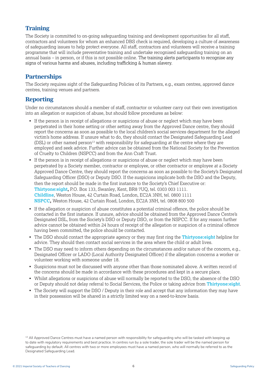## **Training**

The Society is committed to on-going safeguarding training and development opportunities for all staff, contractors and volunteers for whom an enhanced DBS check is required, developing a culture of awareness of safeguarding issues to help protect everyone. All staff, contractors and volunteers will receive a training programme that will include preventative training and undertake recognised safeguarding training on an annual basis – in person, or if this is not possible online. The training alerts participants to recognise any signs of various harms and abuses, including trafficking & human slavery.

# **Partnerships**

The Society requires sight of the Safeguarding Policies of its Partners, e.g., exam centres, approved dance centres, training venues and partners.

## **Reporting**

Under no circumstances should a member of staff, contractor or volunteer carry out their own investigation into an allegation or suspicion of abuse, but should follow procedures as below:

- If the person is in receipt of allegations or suspicions of abuse or neglect which may have been perpetrated in their home setting or other setting away from the Approved Dance centre, they should report the concerns as soon as possible to the local children's social services department for the alleged victim's home address. If unsure what to do, they should contact the Designated Safeguarding Lead  $(DSL)$  or other named person<sup>13</sup> with responsibility for safeguarding at the centre where they are employed and seek advice. Further advice can be obtained from the National Society for the Prevention of Cruelty to Children (NSPCC) and from the Ann Craft Trust.
- If the person is in receipt of allegations or suspicions of abuse or neglect which may have been perpetrated by a Society member, contractor or employee, or other contractor or employee at a Society Approved Dance Centre, they should report the concerns as soon as possible to the Society's Designated Safeguarding Officer (DSO) or Deputy DSO. If the suspicions implicate both the DSO and the Deputy, then the report should be made in the first instance to the Society's Chief Executive or: **Thirtyone:eight,** P.O. Box 133, Swanley, Kent, BR8 7UQ, tel. 0303 003 1111. **Childline**, Weston House, 42 Curtain Road, London, EC2A 3NH, tel. 0800 1111 **NSPCC,** Weston House, 42 Curtain Road, London, EC2A 3NH, tel. 0808 800 500
- If the allegation or suspicion of abuse constitutes a potential criminal offence, the police should be contacted in the first instance. If unsure, advice should be obtained from the Approved Dance Centre's Designated DSL, from the Society's DSO or Deputy DSO, or from the NSPCC. If for any reason further advice cannot be obtained within 24 hours of receipt of the allegation or suspicion of a criminal offence having been committed, the police should be contacted.
- The DSO should contact the appropriate agency or they may first ring the **Thirtyone:eight** helpline for advice. They should then contact social services in the area where the child or adult lives.
- The DSO may need to inform others depending on the circumstances and/or nature of the concern, e.g., Designated Officer or LADO (Local Authority Designated Officer) if the allegation concerns a worker or volunteer working with someone under 18.
- Suspicions must not be discussed with anyone other than those nominated above. A written record of the concerns should be made in accordance with these procedures and kept in a secure place.
- Whilst allegations or suspicions of abuse will normally be reported to the DSO, the absence of the DSO or Deputy should not delay referral to Social Services, the Police or taking advice from **Thirtyone:eight**.
- The Society will support the DSO / Deputy in their role and accept that any information they may have in their possession will be shared in a strictly limited way on a need-to-know basis.

<sup>13</sup> All Approved Dance Centres must have a named person with responsibility for safeguarding who will be tasked with keeping up to date with regulatory requirements and best practice. In centres run by a sole trader, the sole trader will be the named person for safeguarding by default. All centres with two or more employees must have a named person, who will normally be referred to as the Designated Safeguarding Lead.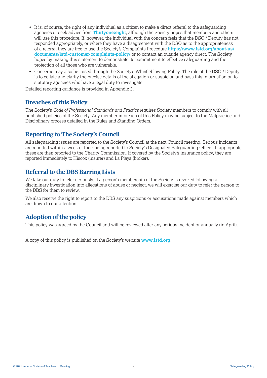- It is, of course, the right of any individual as a citizen to make a direct referral to the safeguarding agencies or seek advice from **Thirtyone:eight**, although the Society hopes that members and others will use this procedure. If, however, the individual with the concern feels that the DSO / Deputy has not responded appropriately, or where they have a disagreement with the DSO as to the appropriateness of a referral they are free to use the Society's Complaints Procedure **https://www.istd.org/about-us/ documents/istd-customer-complaints-policy/** or to contact an outside agency direct. The Society hopes by making this statement to demonstrate its commitment to effective safeguarding and the protection of all those who are vulnerable.
- Concerns may also be raised through the Society's Whistleblowing Policy. The role of the DSO / Deputy is to collate and clarify the precise details of the allegation or suspicion and pass this information on to statutory agencies who have a legal duty to investigate.

Detailed reporting guidance is provided in Appendix 3.

## **Breaches of this Policy**

The Society's *Code of Professional Standards and Practice* requires Society members to comply with all published policies of the Society. Any member in breach of this Policy may be subject to the Malpractice and Disciplinary process detailed in the Rules and Standing Orders.

## **Reporting to The Society's Council**

All safeguarding issues are reported to the Society's Council at the next Council meeting. Serious incidents are reported within a week of their being reported to Society's Designated Safeguarding Officer. If appropriate these are then reported to the Charity Commission. If covered by the Society's insurance policy, they are reported immediately to Hiscox (insurer) and La Playa (broker).

## **Referral to the DBS Barring Lists**

We take our duty to refer seriously. If a person's membership of the Society is revoked following a disciplinary investigation into allegations of abuse or neglect, we will exercise our duty to refer the person to the DBS for them to review.

We also reserve the right to report to the DBS any suspicions or accusations made against members which are drawn to our attention.

## **Adoption of the policy**

This policy was agreed by the Council and will be reviewed after any serious incident or annually (in April).

A copy of this policy is published on the Society's website **www.istd.org**.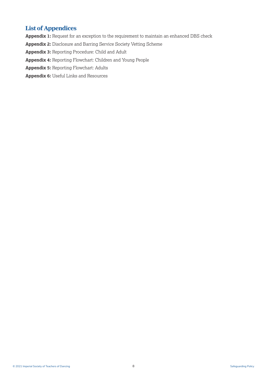# **List of Appendices**

**Appendix 1:** Request for an exception to the requirement to maintain an enhanced DBS check **Appendix 2:** Disclosure and Barring Service Society Vetting Scheme **Appendix 3:** Reporting Procedure: Child and Adult **Appendix 4:** Reporting Flowchart: Children and Young People **Appendix 5:** Reporting Flowchart: Adults **Appendix 6:** Useful Links and Resources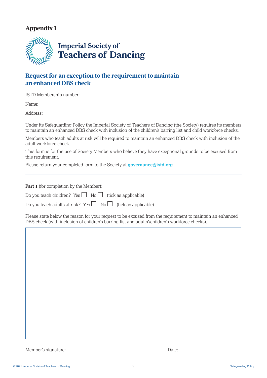

# **Request for an exception to the requirement to maintain an enhanced DBS check**

ISTD Membership number:

Name:

Address:

Under its Safeguarding Policy the Imperial Society of Teachers of Dancing (the Society) requires its members to maintain an enhanced DBS check with inclusion of the children's barring list and child workforce checks.

Members who teach adults at risk will be required to maintain an enhanced DBS check with inclusion of the adult workforce check.

This form is for the use of Society Members who believe they have exceptional grounds to be excused from this requirement.

Please return your completed form to the Society at **governance@istd.org**

Part 1 (for completion by the Member):

Do you teach children? Yes  $\Box$  No  $\Box$  (tick as applicable)

Do you teach adults at risk? Yes  $\Box$  No  $\Box$  (tick as applicable)

Please state below the reason for your request to be excused from the requirement to maintain an enhanced DBS check (with inclusion of children's barring list and adults'/children's workforce checks).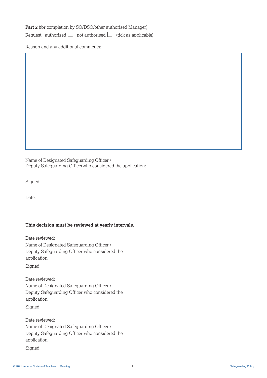**Part 2** (for completion by SO/DSO/other authorised Manager):

Request: authorised  $\Box$  not authorised  $\Box$  (tick as applicable)

Reason and any additional comments:

Name of Designated Safeguarding Officer / Deputy Safeguarding Officerwho considered the application:

Signed:

Date:

#### **This decision must be reviewed at yearly intervals.**

Date reviewed: Name of Designated Safeguarding Officer / Deputy Safeguarding Officer who considered the application: Signed:

Date reviewed: Name of Designated Safeguarding Officer / Deputy Safeguarding Officer who considered the application:

Signed:

Date reviewed: Name of Designated Safeguarding Officer / Deputy Safeguarding Officer who considered the application:

Signed: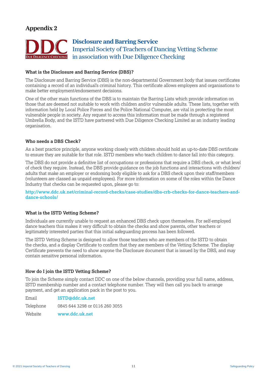

#### **What is the Disclosure and Barring Service (DBS)?**

The Disclosure and Barring Service (DBS) is the non-departmental Government body that issues certificates containing a record of an individual's criminal history. This certificate allows employers and organisations to make better employment/endorsement decisions.

One of the other main functions of the DBS is to maintain the Barring Lists which provide information on those that are deemed not suitable to work with children and/or vulnerable adults. These lists, together with information held by Local Police Forces and the Police National Computer, are vital in protecting the most vulnerable people in society. Any request to access this information must be made through a registered Umbrella Body, and the ISTD have partnered with Due Diligence Checking Limited as an industry leading organisation.

#### **Who needs a DBS Check?**

As a best practice principle, anyone working closely with children should hold an up-to-date DBS certificate to ensure they are suitable for that role. ISTD members who teach children to dance fall into this category.

The DBS do not provide a definitive list of occupations or professions that require a DBS check, or what level of check they require. Instead, the DBS provide guidance on the job functions and interactions with children/ adults that make an employer or endorsing body eligible to ask for a DBS check upon their staff/members (volunteers are classed as unpaid employees). For more information on some of the roles within the Dance Industry that checks can be requested upon, please go to:

**http://www.ddc.uk.net/criminal-record-checks/case-studies/dbs-crb-checks-for-dance-teachers-anddance-schools/**

#### **What is the ISTD Vetting Scheme?**

Individuals are currently unable to request an enhanced DBS check upon themselves. For self-employed dance teachers this makes it very difficult to obtain the checks and show parents, other teachers or legitimately interested parties that this initial safeguarding process has been followed.

The ISTD Vetting Scheme is designed to allow those teachers who are members of the ISTD to obtain the checks, and a display Certificate to confirm that they are members of the Vetting Scheme. The display Certificate prevents the need to show anyone the Disclosure document that is issued by the DBS, and may contain sensitive personal information.

#### **How do I join the ISTD Vetting Scheme?**

To join the Scheme simply contact DDC on one of the below channels, providing your full name, address, ISTD membership number and a contact telephone number. They will then call you back to arrange payment, and get an application pack in the post to you.

Email **ISTD@ddc.uk.net** Telephone 0845 644 3298 or 0116 260 3055 Website **www.ddc.uk.net**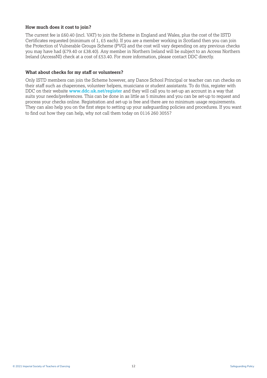#### **How much does it cost to join?**

The current fee is £60.40 (incl. VAT) to join the Scheme in England and Wales, plus the cost of the ISTD Certificates requested (minimum of 1, £5 each). If you are a member working in Scotland then you can join the Protection of Vulnerable Groups Scheme (PVG) and the cost will vary depending on any previous checks you may have had (£79.40 or £38.40). Any member in Northern Ireland will be subject to an Access Northern Ireland (AccessNI) check at a cost of £53.40. For more information, please contact DDC directly.

#### **What about checks for my staff or volunteers?**

Only ISTD members can join the Scheme however, any Dance School Principal or teacher can run checks on their staff such as chaperones, volunteer helpers, musicians or student assistants. To do this, register with DDC on their website **www.ddc.uk.net/register** and they will call you to set-up an account in a way that suits your needs/preferences. This can be done in as little as 5 minutes and you can be set-up to request and process your checks online. Registration and set-up is free and there are no minimum usage requirements. They can also help you on the first steps to setting up your safeguarding policies and procedures. If you want to find out how they can help, why not call them today on 0116 260 3055?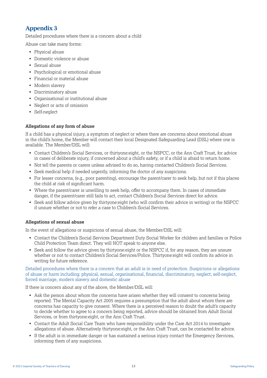Detailed procedures where there is a concern about a child

Abuse can take many forms:

- Physical abuse
- Domestic violence or abuse
- Sexual abuse
- Psychological or emotional abuse
- Financial or material abuse
- Modern slavery
- Discriminatory abuse
- Organisational or institutional abuse
- Neglect or acts of omission
- Self-neglect

#### **Allegations of any form of abuse**

If a child has a physical injury, a symptom of neglect or where there are concerns about emotional abuse in the child's home, the Member will contact their local Designated Safeguarding Lead (DSL) where one is available. The Member/DSL will:

- Contact Children's Social Services, or thirtyone:eight, or the NSPCC, or the Ann Craft Trust, for advice in cases of deliberate injury, if concerned about a child's safety, or if a child is afraid to return home.
- Not tell the parents or carers unless advised to do so, having contacted Children's Social Services.
- Seek medical help if needed urgently, informing the doctor of any suspicions.
- For lesser concerns, (e.g., poor parenting), encourage the parent/carer to seek help, but not if this places the child at risk of significant harm.
- Where the parent/carer is unwilling to seek help, offer to accompany them. In cases of immediate danger, if the parent/carer still fails to act, contact Children's Social Services direct for advice.
- Seek and follow advice given by thirtyone:eight (who will confirm their advice in writing) or the NSPCC if unsure whether or not to refer a case to Children's Social Services.

## **Allegations of sexual abuse**

In the event of allegations or suspicions of sexual abuse, the Member/DSL will:

- Contact the Children's Social Services Department Duty Social Worker for children and families or Police Child Protection Team direct. They will NOT speak to anyone else.
- Seek and follow the advice given by thirtyone:eight or the NSPCC if, for any reason, they are unsure whether or not to contact Children's Social Services/Police. Thirtyone:eight will confirm its advice in writing for future reference.

Detailed procedures where there is a concern that an adult is in need of protection. Suspicions or allegations of abuse or harm including; physical, sexual, organisational, financial, discriminatory, neglect, self-neglect, forced marriage, modern slavery and domestic abuse

If there is concern about any of the above, the Member/DSL will:

- Ask the person about whom the concerns have arisen whether they will consent to concerns being reported. The Mental Capacity Act 2005 requires a presumption that the adult about whom there are concerns has capacity to give consent. Where there is a perceived reason to doubt the adult's capacity to decide whether to agree to a concern being reported, advice should be obtained from Adult Social Services, or from thirtyone:eight, or the Ann Craft Trust.
- Contact the Adult Social Care Team who have responsibility under the Care Act 2014 to investigate allegations of abuse. Alternatively thirtyone:eight, or the Ann Craft Trust, can be contacted for advice.
- If the adult is in immediate danger or has sustained a serious injury contact the Emergency Services, informing them of any suspicions.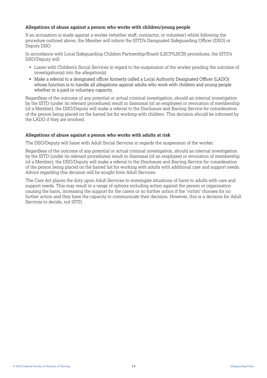#### **Allegations of abuse against a person who works with children/young people**

If an accusation is made against a worker (whether staff, contractor, or volunteer) whilst following the procedure outlined above, the Member will inform the ISTD's Designated Safeguarding Officer (DSO) or Deputy DSO

In accordance with Local Safeguarding Children Partnership/Board (LSCP/LSCB) procedures, the ISTD's DSO/Deputy will:

- Liaise with Children's Social Services in regard to the suspension of the worker pending the outcome of investigation(s) into the allegation(s)
- Make a referral to a designated officer formerly called a Local Authority Designated Officer (LADO) whose function is to handle all allegations against adults who work with children and young people whether in a paid or voluntary capacity.

Regardless of the outcome of any potential or actual criminal investigation, should an internal investigation by the ISTD (under its relevant procedures) result in dismissal (of an employee) or revocation of membership (of a Member), the DSO/Deputy will make a referral to the Disclosure and Barring Service for consideration of the person being placed on the barred list for working with children. This decision should be informed by the LADO if they are involved.

#### **Allegations of abuse against a person who works with adults at risk**

The DSO/Deputy will liaise with Adult Social Services in regards the suspension of the worker.

Regardless of the outcome of any potential or actual criminal investigation, should an internal investigation by the ISTD (under its relevant procedures) result in dismissal (of an employee) or revocation of membership (of a Member), the DSO/Deputy will make a referral to the Disclosure and Barring Service for consideration of the person being placed on the barred list for working with adults with additional care and support needs. Advice regarding this decision will be sought from Adult Services.

The Care Act places the duty upon Adult Services to investigate situations of harm to adults with care and support needs. This may result in a range of options including action against the person or organisation causing the harm, increasing the support for the carers or no further action if the 'victim' chooses for no further action and they have the capacity to communicate their decision. However, this is a decision for Adult Services to decide, not ISTD.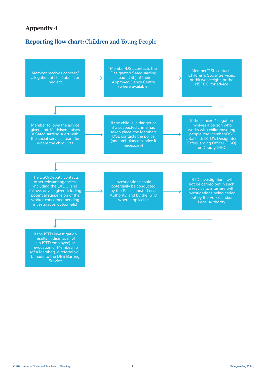# **Reporting flow chart:** Children and Young People

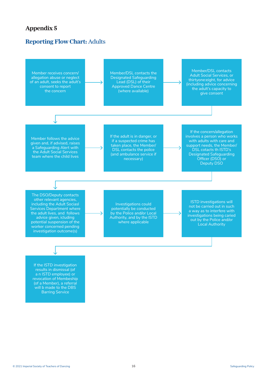## **Reporting Flow Chart:** Adults

Member receives concern/ allegation abuse or neglect of an adult, seeks the adult's consent to report the concern

Member/DSL contacts the Designated Safeguarding Lead (DSL) of their Approved Dance Centre (where available)

Member/DSL contacts Adult Social Services, or thirtyone:eight, for advice (including advice concerning the adult's capacity to give consent

Member follows the advice given and, if advised, raises a Safeguarding Alert with the Adult Social Services team where the child lives

If the adult is in danger, or if a suspected crime has taken place, the Member/ DSL contacts the police (and ambulance service if necessary)

If the concern/allegation involves a person who works with adults with care and support needs, the Member/ DSL cotacts th ISTD's Designated Safeguarding Officer (DSO) or Deputy DSO

The DSO/Deputy contacts other relevant agencies, including the Adult Sociasl Services Department where the adult lives, and follows advice given, icluding potential suspension of the worker concerned pending investigation outcome(s)

Investigations could potentially be conducted by the Police and/or Local Authority, and by the ISTD where applicable

ISTD investigations will not be carried out in such a way as to interfere with investigations being caried out by the Police and/or Local Authority

If the ISTD investigation results in dismissal (of a n ISTD employee) or revocation of Membeship (of a Member), a referral will b made to the DBS Barring Service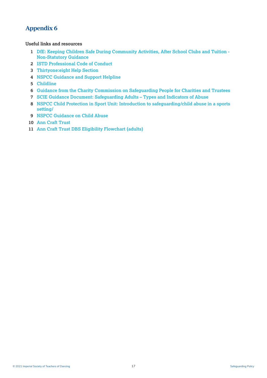#### **Useful links and resources**

- **1 DfE: Keeping Children Safe During Community Activities, After School Clubs and Tuition Non-Statutory Guidance**
- **2 ISTD Professional Code of Conduct**
- **3 Thirtyone:eight Help Section**
- **4 NSPCC Guidance and Support Helpline**
- **5 Childline**
- **6 Guidance from the Charity Commission on Safeguarding People for Charities and Trustees**
- **7 SCIE Guidance Document: Safeguarding Adults Types and Indicators of Abuse**
- **8 NSPCC Child Protection in Sport Unit: Introduction to safeguarding/child abuse in a sports setting/**
- **9 NSPCC Guidance on Child Abuse**
- **10 Ann Craft Trust**
- **11 Ann Craft Trust DBS Eligibility Flowchart (adults)**